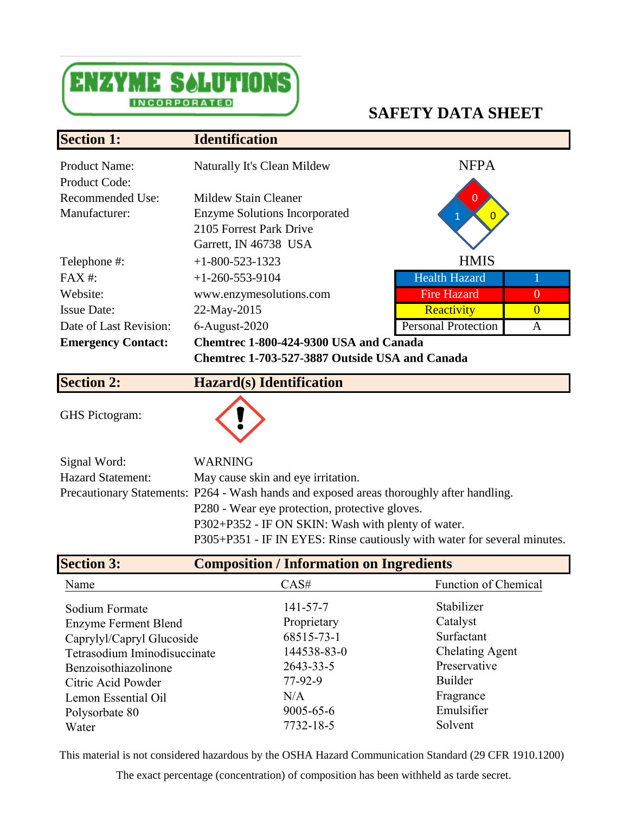

## **SAFETY DATA SHEET**

| <b>Section 1:</b>         | <b>Identification</b>                          |                            |                |
|---------------------------|------------------------------------------------|----------------------------|----------------|
| <b>Product Name:</b>      | Naturally It's Clean Mildew                    | <b>NFPA</b>                |                |
| <b>Product Code:</b>      |                                                |                            |                |
| Recommended Use:          | Mildew Stain Cleaner                           | $\Omega$                   |                |
| Manufacturer:             | <b>Enzyme Solutions Incorporated</b>           |                            |                |
|                           | 2105 Forrest Park Drive                        |                            |                |
|                           | Garrett, IN 46738 USA                          |                            |                |
| Telephone #:              | $+1 - 800 - 523 - 1323$                        | <b>HMIS</b>                |                |
| $FAX#$ :                  | $+1-260-553-9104$                              | <b>Health Hazard</b>       |                |
| Website:                  | www.enzymesolutions.com                        | <b>Fire Hazard</b>         | $\theta$       |
| <b>Issue Date:</b>        | 22-May-2015                                    | Reactivity                 | $\overline{0}$ |
| Date of Last Revision:    | $6$ -August-2020                               | <b>Personal Protection</b> | A              |
| <b>Emergency Contact:</b> | Chemtrec 1-800-424-9300 USA and Canada         |                            |                |
|                           | Chemtrec 1-703-527-3887 Outside USA and Canada |                            |                |
|                           |                                                |                            |                |

GHS Pictogram:



**Section 2: Hazard(s) Identification**

| Signal Word:             | <b>WARNING</b>                                                                           |
|--------------------------|------------------------------------------------------------------------------------------|
| <b>Hazard Statement:</b> | May cause skin and eye irritation.                                                       |
|                          | Precautionary Statements: P264 - Wash hands and exposed areas thoroughly after handling. |
|                          | P280 - Wear eye protection, protective gloves.                                           |
|                          | P302+P352 - IF ON SKIN: Wash with plenty of water.                                       |
|                          | P305+P351 - IF IN EYES: Rinse cautiously with water for several minutes.                 |

| <b>Section 3:</b>            | <b>Composition / Information on Ingredients</b> |                             |
|------------------------------|-------------------------------------------------|-----------------------------|
| Name                         | CAS#                                            | <b>Function of Chemical</b> |
| Sodium Formate               | $141 - 57 - 7$                                  | Stabilizer                  |
| <b>Enzyme Ferment Blend</b>  | Proprietary                                     | Catalyst                    |
| Caprylyl/Capryl Glucoside    | 68515-73-1                                      | Surfactant                  |
| Tetrasodium Iminodisuccinate | 144538-83-0                                     | <b>Chelating Agent</b>      |
| Benzoisothiazolinone         | 2643-33-5                                       | Preservative                |
| Citric Acid Powder           | $77-92-9$                                       | Builder                     |
| Lemon Essential Oil          | N/A                                             | Fragrance                   |
| Polysorbate 80               | $9005 - 65 - 6$                                 | Emulsifier                  |
| Water                        | 7732-18-5                                       | Solvent                     |

This material is not considered hazardous by the OSHA Hazard Communication Standard (29 CFR 1910.1200)

The exact percentage (concentration) of composition has been withheld as tarde secret.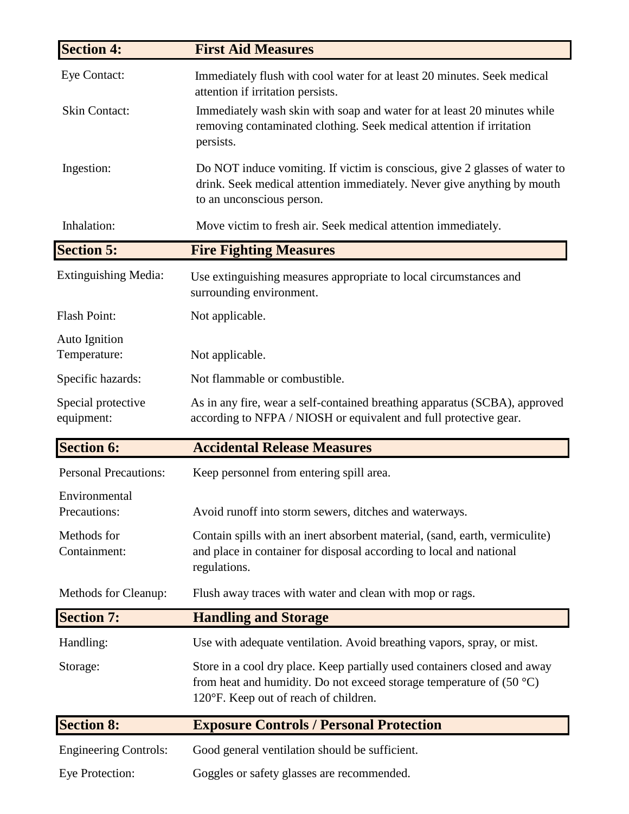| <b>Section 4:</b>                | <b>First Aid Measures</b>                                                                                                                                                                    |
|----------------------------------|----------------------------------------------------------------------------------------------------------------------------------------------------------------------------------------------|
| Eye Contact:                     | Immediately flush with cool water for at least 20 minutes. Seek medical<br>attention if irritation persists.                                                                                 |
| <b>Skin Contact:</b>             | Immediately wash skin with soap and water for at least 20 minutes while<br>removing contaminated clothing. Seek medical attention if irritation<br>persists.                                 |
| Ingestion:                       | Do NOT induce vomiting. If victim is conscious, give 2 glasses of water to<br>drink. Seek medical attention immediately. Never give anything by mouth<br>to an unconscious person.           |
| Inhalation:                      | Move victim to fresh air. Seek medical attention immediately.                                                                                                                                |
| <b>Section 5:</b>                | <b>Fire Fighting Measures</b>                                                                                                                                                                |
| <b>Extinguishing Media:</b>      | Use extinguishing measures appropriate to local circumstances and<br>surrounding environment.                                                                                                |
| <b>Flash Point:</b>              | Not applicable.                                                                                                                                                                              |
| Auto Ignition<br>Temperature:    | Not applicable.                                                                                                                                                                              |
| Specific hazards:                | Not flammable or combustible.                                                                                                                                                                |
| Special protective<br>equipment: | As in any fire, wear a self-contained breathing apparatus (SCBA), approved<br>according to NFPA / NIOSH or equivalent and full protective gear.                                              |
| <b>Section 6:</b>                | <b>Accidental Release Measures</b>                                                                                                                                                           |
| <b>Personal Precautions:</b>     | Keep personnel from entering spill area.                                                                                                                                                     |
| Environmental<br>Precautions:    | Avoid runoff into storm sewers, ditches and waterways.                                                                                                                                       |
| Methods for<br>Containment:      | Contain spills with an inert absorbent material, (sand, earth, vermiculite)<br>and place in container for disposal according to local and national<br>regulations.                           |
| Methods for Cleanup:             | Flush away traces with water and clean with mop or rags.                                                                                                                                     |
| <b>Section 7:</b>                | <b>Handling and Storage</b>                                                                                                                                                                  |
| Handling:                        | Use with adequate ventilation. Avoid breathing vapors, spray, or mist.                                                                                                                       |
| Storage:                         | Store in a cool dry place. Keep partially used containers closed and away<br>from heat and humidity. Do not exceed storage temperature of $(50 °C)$<br>120°F. Keep out of reach of children. |
| <b>Section 8:</b>                | <b>Exposure Controls / Personal Protection</b>                                                                                                                                               |
| <b>Engineering Controls:</b>     | Good general ventilation should be sufficient.                                                                                                                                               |
| Eye Protection:                  | Goggles or safety glasses are recommended.                                                                                                                                                   |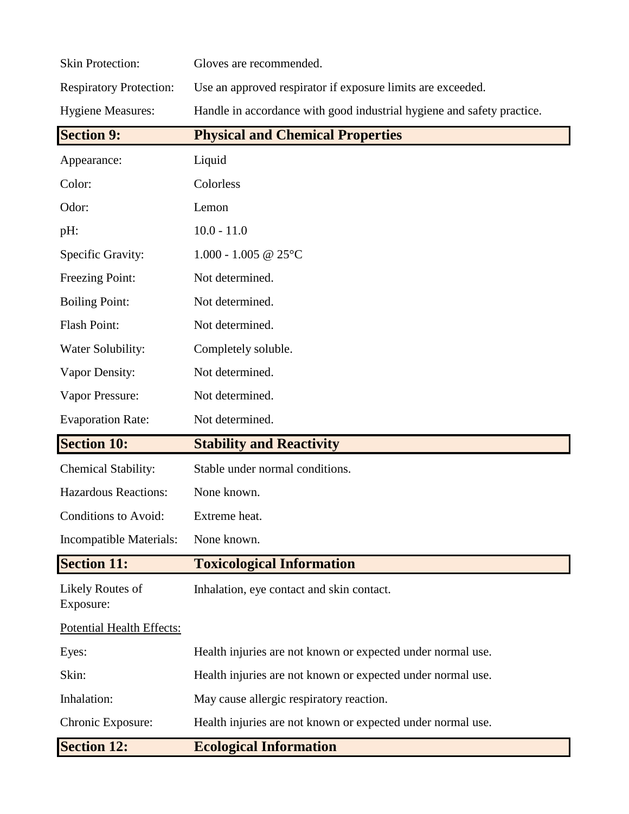| <b>Skin Protection:</b>          | Gloves are recommended.                                                |
|----------------------------------|------------------------------------------------------------------------|
| <b>Respiratory Protection:</b>   | Use an approved respirator if exposure limits are exceeded.            |
| <b>Hygiene Measures:</b>         | Handle in accordance with good industrial hygiene and safety practice. |
| <b>Section 9:</b>                | <b>Physical and Chemical Properties</b>                                |
| Appearance:                      | Liquid                                                                 |
| Color:                           | Colorless                                                              |
| Odor:                            | Lemon                                                                  |
| pH:                              | $10.0 - 11.0$                                                          |
| Specific Gravity:                | $1.000 - 1.005$ @ 25°C                                                 |
| Freezing Point:                  | Not determined.                                                        |
| <b>Boiling Point:</b>            | Not determined.                                                        |
| Flash Point:                     | Not determined.                                                        |
| Water Solubility:                | Completely soluble.                                                    |
| Vapor Density:                   | Not determined.                                                        |
| Vapor Pressure:                  | Not determined.                                                        |
| <b>Evaporation Rate:</b>         | Not determined.                                                        |
| <b>Section 10:</b>               | <b>Stability and Reactivity</b>                                        |
| Chemical Stability:              | Stable under normal conditions.                                        |
| <b>Hazardous Reactions:</b>      | None known.                                                            |
| Conditions to Avoid:             | Extreme heat.                                                          |
| Incompatible Materials:          | None known.                                                            |
| <b>Section 11:</b>               | <b>Toxicological Information</b>                                       |
| Likely Routes of<br>Exposure:    | Inhalation, eye contact and skin contact.                              |
| <b>Potential Health Effects:</b> |                                                                        |
| Eyes:                            | Health injuries are not known or expected under normal use.            |
| Skin:                            | Health injuries are not known or expected under normal use.            |
| Inhalation:                      | May cause allergic respiratory reaction.                               |
| Chronic Exposure:                | Health injuries are not known or expected under normal use.            |
| <b>Section 12:</b>               | <b>Ecological Information</b>                                          |